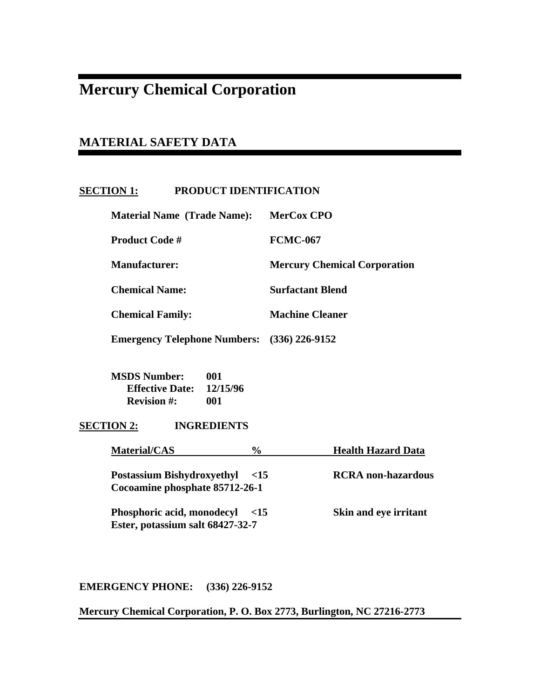# **Mercury Chemical Corporation**

# **MATERIAL SAFETY DATA**

# **SECTION 1: PRODUCT IDENTIFICATION**

| <b>Material Name (Trade Name):</b>  | MerCox CPO                          |
|-------------------------------------|-------------------------------------|
| <b>Product Code #</b>               | <b>FCMC-067</b>                     |
| Manufacturer:                       | <b>Mercury Chemical Corporation</b> |
| <b>Chemical Name:</b>               | <b>Surfactant Blend</b>             |
| <b>Chemical Family:</b>             | <b>Machine Cleaner</b>              |
| <b>Emergency Telephone Numbers:</b> | $(336)$ 226-9152                    |

 **MSDS Number: 001 Effective Date: 12/15/96 Revision #: 001** 

**SECTION 2: INGREDIENTS** 

| <b>Material/CAS</b>                                                     | $\frac{0}{0}$ | <b>Health Hazard Data</b>    |
|-------------------------------------------------------------------------|---------------|------------------------------|
| <b>Postassium Bishydroxyethyl</b> <15<br>Cocoamine phosphate 85712-26-1 |               | <b>RCRA</b> non-hazardous    |
| <b>Phosphoric acid, monodecyl</b><br>Ester, potassium salt 68427-32-7   | $\leq$ 15     | <b>Skin and eye irritant</b> |

**EMERGENCY PHONE: (336) 226-9152** 

**Mercury Chemical Corporation, P. O. Box 2773, Burlington, NC 27216-2773**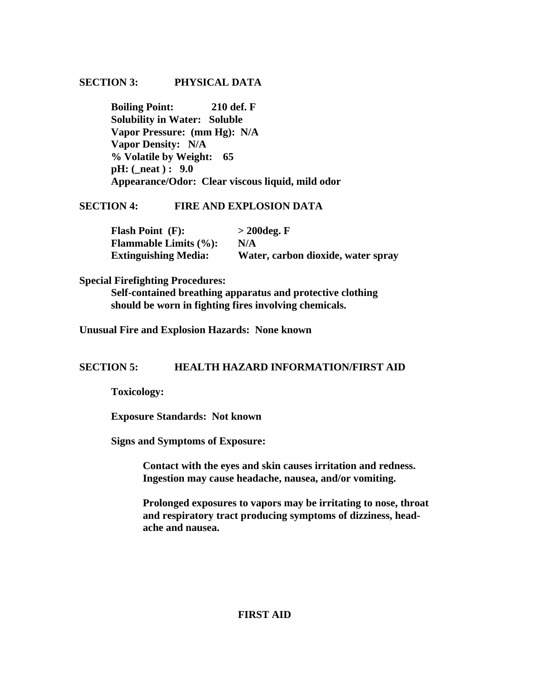# **SECTION 3: PHYSICAL DATA**

 **Boiling Point: 210 def. F Solubility in Water: Soluble Vapor Pressure: (mm Hg): N/A Vapor Density: N/A % Volatile by Weight: 65 pH: (\_neat ) : 9.0 Appearance/Odor: Clear viscous liquid, mild odor** 

#### **SECTION 4: FIRE AND EXPLOSION DATA**

| <b>Flash Point (F):</b>                    | $>$ 200 deg. F                     |
|--------------------------------------------|------------------------------------|
| <b>Flammable Limits <math>(\%):</math></b> | N/A                                |
| <b>Extinguishing Media:</b>                | Water, carbon dioxide, water spray |

#### **Special Firefighting Procedures:**

 **Self-contained breathing apparatus and protective clothing should be worn in fighting fires involving chemicals.** 

**Unusual Fire and Explosion Hazards: None known** 

# **SECTION 5: HEALTH HAZARD INFORMATION/FIRST AID**

 **Toxicology:** 

 **Exposure Standards: Not known** 

 **Signs and Symptoms of Exposure:** 

 **Contact with the eyes and skin causes irritation and redness. Ingestion may cause headache, nausea, and/or vomiting.** 

**Prolonged exposures to vapors may be irritating to nose, throat and respiratory tract producing symptoms of dizziness, head ache and nausea.** 

# **FIRST AID**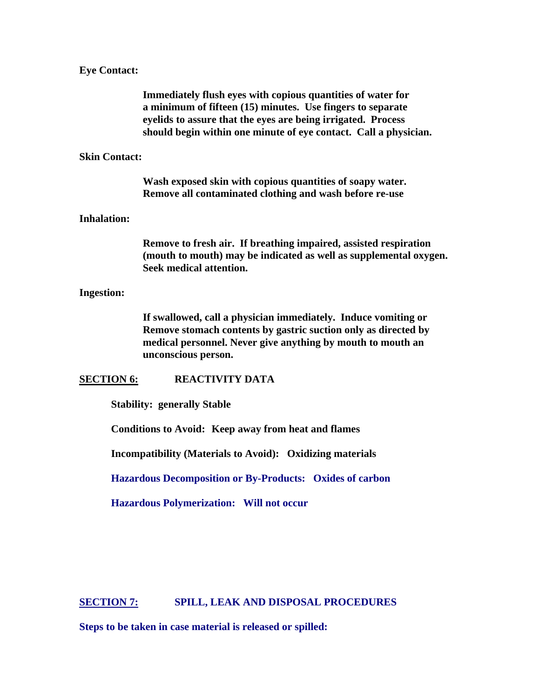#### **Eye Contact:**

 **Immediately flush eyes with copious quantities of water for a minimum of fifteen (15) minutes. Use fingers to separate eyelids to assure that the eyes are being irrigated. Process should begin within one minute of eye contact. Call a physician.** 

#### **Skin Contact:**

 **Wash exposed skin with copious quantities of soapy water. Remove all contaminated clothing and wash before re-use** 

#### **Inhalation:**

 **Remove to fresh air. If breathing impaired, assisted respiration (mouth to mouth) may be indicated as well as supplemental oxygen. Seek medical attention.** 

#### **Ingestion:**

 **If swallowed, call a physician immediately. Induce vomiting or Remove stomach contents by gastric suction only as directed by medical personnel. Never give anything by mouth to mouth an unconscious person.** 

#### **SECTION 6: REACTIVITY DATA**

 **Stability: generally Stable** 

 **Conditions to Avoid: Keep away from heat and flames** 

 **Incompatibility (Materials to Avoid): Oxidizing materials** 

 **Hazardous Decomposition or By-Products: Oxides of carbon** 

 **Hazardous Polymerization: Will not occur** 

#### **SECTION 7: SPILL, LEAK AND DISPOSAL PROCEDURES**

**Steps to be taken in case material is released or spilled:**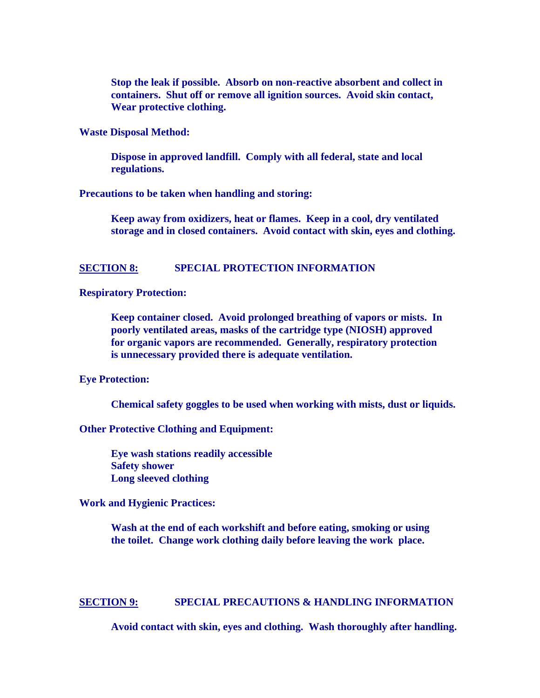**Stop the leak if possible. Absorb on non-reactive absorbent and collect in containers. Shut off or remove all ignition sources. Avoid skin contact, Wear protective clothing.** 

**Waste Disposal Method:** 

 **Dispose in approved landfill. Comply with all federal, state and local regulations.** 

**Precautions to be taken when handling and storing:** 

 **Keep away from oxidizers, heat or flames. Keep in a cool, dry ventilated storage and in closed containers. Avoid contact with skin, eyes and clothing.** 

#### **SECTION 8: SPECIAL PROTECTION INFORMATION**

**Respiratory Protection:** 

**Keep container closed. Avoid prolonged breathing of vapors or mists. In poorly ventilated areas, masks of the cartridge type (NIOSH) approved for organic vapors are recommended. Generally, respiratory protection is unnecessary provided there is adequate ventilation.** 

#### **Eye Protection:**

 **Chemical safety goggles to be used when working with mists, dust or liquids.** 

**Other Protective Clothing and Equipment:** 

 **Eye wash stations readily accessible Safety shower Long sleeved clothing** 

**Work and Hygienic Practices:** 

 **Wash at the end of each workshift and before eating, smoking or using the toilet. Change work clothing daily before leaving the work place.** 

# **SECTION 9: SPECIAL PRECAUTIONS & HANDLING INFORMATION**

 **Avoid contact with skin, eyes and clothing. Wash thoroughly after handling.**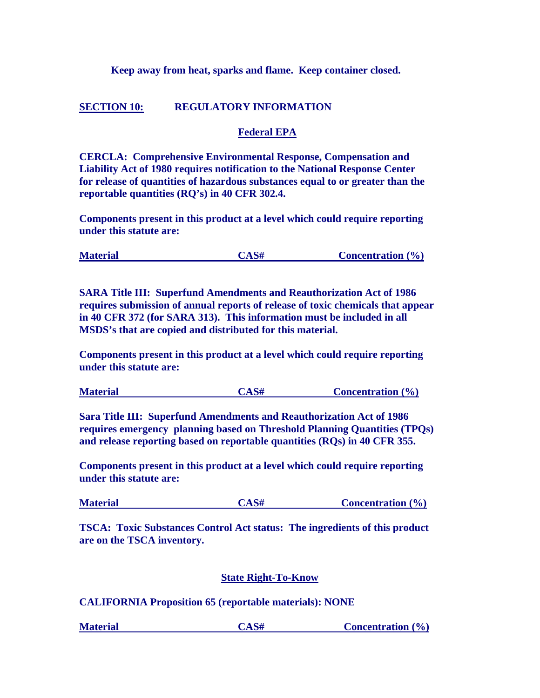# **Keep away from heat, sparks and flame. Keep container closed.**

# **SECTION 10: REGULATORY INFORMATION**

#### **Federal EPA**

**CERCLA: Comprehensive Environmental Response, Compensation and Liability Act of 1980 requires notification to the National Response Center for release of quantities of hazardous substances equal to or greater than the reportable quantities (RQ's) in 40 CFR 302.4.** 

**Components present in this product at a level which could require reporting under this statute are:** 

| <b>Material</b> | CAS# | <b>Concentration</b> $(\% )$ |
|-----------------|------|------------------------------|
|                 |      |                              |

**SARA Title III: Superfund Amendments and Reauthorization Act of 1986 requires submission of annual reports of release of toxic chemicals that appear in 40 CFR 372 (for SARA 313). This information must be included in all MSDS's that are copied and distributed for this material.** 

**Components present in this product at a level which could require reporting under this statute are:** 

| <b>Material</b> | CAS# | <b>Concentration</b> $(\% )$ |
|-----------------|------|------------------------------|
|                 |      |                              |

**Sara Title III: Superfund Amendments and Reauthorization Act of 1986 requires emergency planning based on Threshold Planning Quantities (TPQs) and release reporting based on reportable quantities (RQs) in 40 CFR 355.** 

**Components present in this product at a level which could require reporting under this statute are:** 

| <b>Material</b><br><b>Concentration</b> $(\% )$ |
|-------------------------------------------------|
|-------------------------------------------------|

**TSCA: Toxic Substances Control Act status: The ingredients of this product are on the TSCA inventory.** 

# **State Right-To-Know**

**CALIFORNIA Proposition 65 (reportable materials): NONE** 

**Material CAS# Concentration (%)**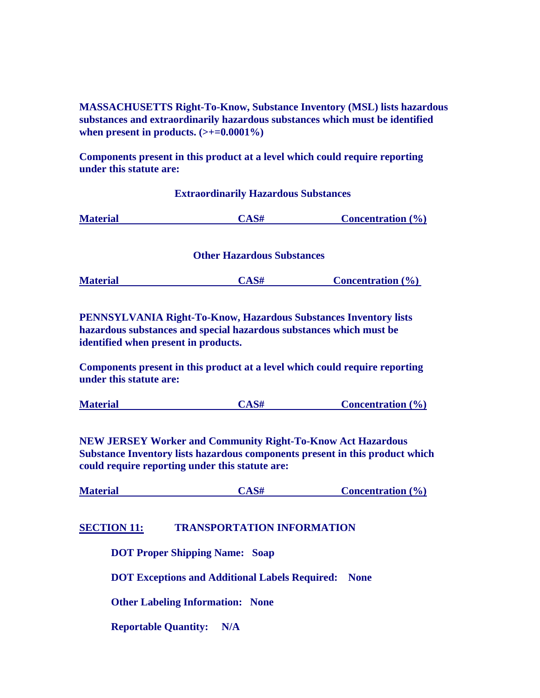**MASSACHUSETTS Right-To-Know, Substance Inventory (MSL) lists hazardous substances and extraordinarily hazardous substances which must be identified**  when present in products.  $(\geq+0.0001\%)$ 

**Components present in this product at a level which could require reporting under this statute are:** 

# **Extraordinarily Hazardous Substances Material CAS# Concentration (%) Other Hazardous Substances Material CAS# Concentration (%)**

**PENNSYLVANIA Right-To-Know, Hazardous Substances Inventory lists hazardous substances and special hazardous substances which must be identified when present in products.** 

**Components present in this product at a level which could require reporting under this statute are:** 

| <b>Material</b><br><b>Concentration</b> $(\% )$ |  |
|-------------------------------------------------|--|
|-------------------------------------------------|--|

**NEW JERSEY Worker and Community Right-To-Know Act Hazardous Substance Inventory lists hazardous components present in this product which could require reporting under this statute are:** 

**Material CAS# Concentration (%)**

# **SECTION 11: TRANSPORTATION INFORMATION**

 **DOT Proper Shipping Name: Soap** 

 **DOT Exceptions and Additional Labels Required: None** 

 **Other Labeling Information: None** 

 **Reportable Quantity: N/A**